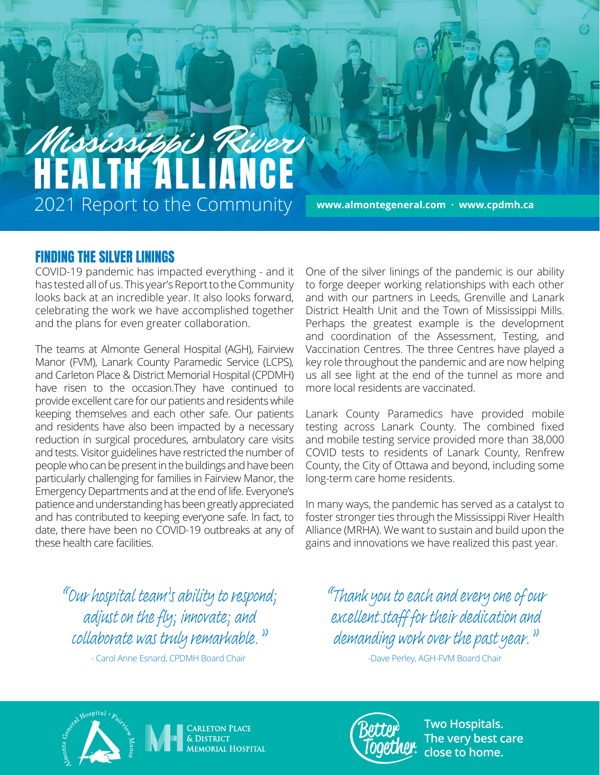# Mississippi River HEALTH ALLIANCE 2021 Report to the Community

**www.almontegeneral.com · www.cpdmh.ca**

### FINDING THE SILVER LININGS

COVID-19 pandemic has impacted everything - and it has tested all of us. This year's Report to the Community looks back at an incredible year. It also looks forward, celebrating the work we have accomplished together and the plans for even greater collaboration.

The teams at Almonte General Hospital (AGH), Fairview Manor (FVM), Lanark County Paramedic Service (LCPS), and Carleton Place & District Memorial Hospital (CPDMH) have risen to the occasion.They have continued to provide excellent care for our patients and residents while keeping themselves and each other safe. Our patients and residents have also been impacted by a necessary reduction in surgical procedures, ambulatory care visits and tests. Visitor guidelines have restricted the number of people who can be present in the buildings and have been particularly challenging for families in Fairview Manor, the Emergency Departments and at the end of life. Everyone's patience and understanding has been greatly appreciated and has contributed to keeping everyone safe. In fact, to date, there have been no COVID-19 outbreaks at any of these health care facilities.

One of the silver linings of the pandemic is our ability to forge deeper working relationships with each other and with our partners in Leeds, Grenville and Lanark District Health Unit and the Town of Mississippi Mills. Perhaps the greatest example is the development and coordination of the Assessment, Testing, and Vaccination Centres. The three Centres have played a key role throughout the pandemic and are now helping us all see light at the end of the tunnel as more and more local residents are vaccinated.

Lanark County Paramedics have provided mobile testing across Lanark County. The combined fixed and mobile testing service provided more than 38,000 COVID tests to residents of Lanark County, Renfrew County, the City of Ottawa and beyond, including some long-term care home residents.

In many ways, the pandemic has served as a catalyst to foster stronger ties through the Mississippi River Health Alliance (MRHA). We want to sustain and build upon the gains and innovations we have realized this past year.

*"Our hospital team's ability to respond; adjust on the fly; innovate; and collaborate was truly remarkable."*

- Carol Anne Esnard, CPDMH Board Chair

*"Thank you to each and every one of our excellent staff for their dedication and demanding work over the past year."*

-Dave Perley, AGH-FVM Board Chair







**Two Hospitals. The very best care close to home.**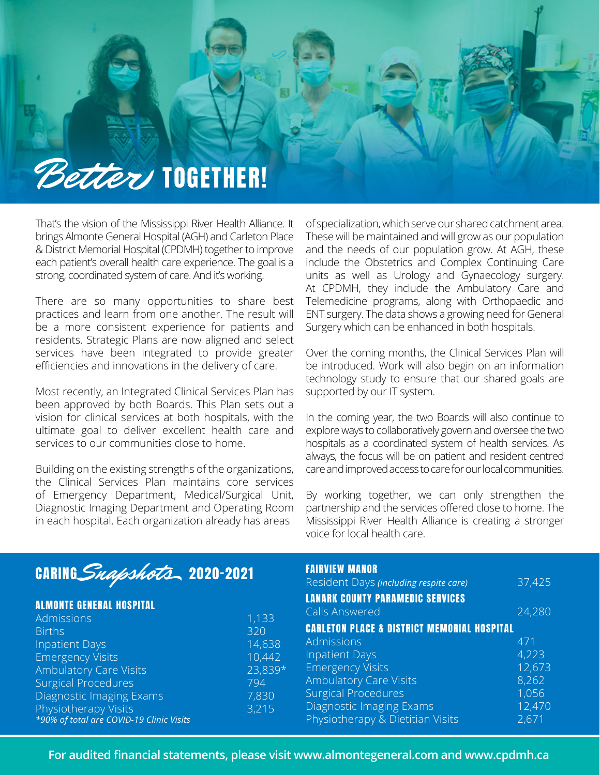

That's the vision of the Mississippi River Health Alliance. It brings Almonte General Hospital (AGH) and Carleton Place & District Memorial Hospital (CPDMH) together to improve each patient's overall health care experience. The goal is a strong, coordinated system of care. And it's working.

There are so many opportunities to share best practices and learn from one another. The result will be a more consistent experience for patients and residents. Strategic Plans are now aligned and select services have been integrated to provide greater efficiencies and innovations in the delivery of care.

Most recently, an Integrated Clinical Services Plan has been approved by both Boards. This Plan sets out a vision for clinical services at both hospitals, with the ultimate goal to deliver excellent health care and services to our communities close to home.

Building on the existing strengths of the organizations, the Clinical Services Plan maintains core services of Emergency Department, Medical/Surgical Unit, Diagnostic Imaging Department and Operating Room in each hospital. Each organization already has areas

of specialization, which serve our shared catchment area. These will be maintained and will grow as our population and the needs of our population grow. At AGH, these include the Obstetrics and Complex Continuing Care units as well as Urology and Gynaecology surgery. At CPDMH, they include the Ambulatory Care and Telemedicine programs, along with Orthopaedic and ENT surgery. The data shows a growing need for General Surgery which can be enhanced in both hospitals.

Over the coming months, the Clinical Services Plan will be introduced. Work will also begin on an information technology study to ensure that our shared goals are supported by our IT system.

In the coming year, the two Boards will also continue to explore ways to collaboratively govern and oversee the two hospitals as a coordinated system of health services. As always, the focus will be on patient and resident-centred care and improved access to care for our local communities.

By working together, we can only strengthen the partnership and the services offered close to home. The Mississippi River Health Alliance is creating a stronger voice for local health care.

## CARING Snapshots 2020-2021

|  |  |  |  | <b>ALMONTE GENERAL HOSPITAL</b> |  |
|--|--|--|--|---------------------------------|--|
|  |  |  |  |                                 |  |

| 1,133   |
|---------|
| 320     |
| 14,638  |
| 10,442  |
| 23,839* |
| 794     |
| 7,830   |
| 3,215   |
|         |
|         |

### FAIRVIEW MANOR

| Resident Days (including respite care)                 | 37,425 |  |  |  |  |  |  |
|--------------------------------------------------------|--------|--|--|--|--|--|--|
| <b>LANARK COUNTY PARAMEDIC SERVICES</b>                |        |  |  |  |  |  |  |
| <b>Calls Answered</b>                                  | 24,280 |  |  |  |  |  |  |
| <b>CARLETON PLACE &amp; DISTRICT MEMORIAL HOSPITAL</b> |        |  |  |  |  |  |  |
| Admissions                                             | 471    |  |  |  |  |  |  |
| <b>Inpatient Days</b>                                  | 4,223  |  |  |  |  |  |  |
| <b>Emergency Visits</b>                                | 12,673 |  |  |  |  |  |  |
| <b>Ambulatory Care Visits</b>                          | 8,262  |  |  |  |  |  |  |
| <b>Surgical Procedures</b>                             | 1,056  |  |  |  |  |  |  |
| Diagnostic Imaging Exams                               | 12,470 |  |  |  |  |  |  |
| Physiotherapy & Dietitian Visits                       | 2,671  |  |  |  |  |  |  |

**For audited financial statements, please visit www.almontegeneral.com and www.cpdmh.ca**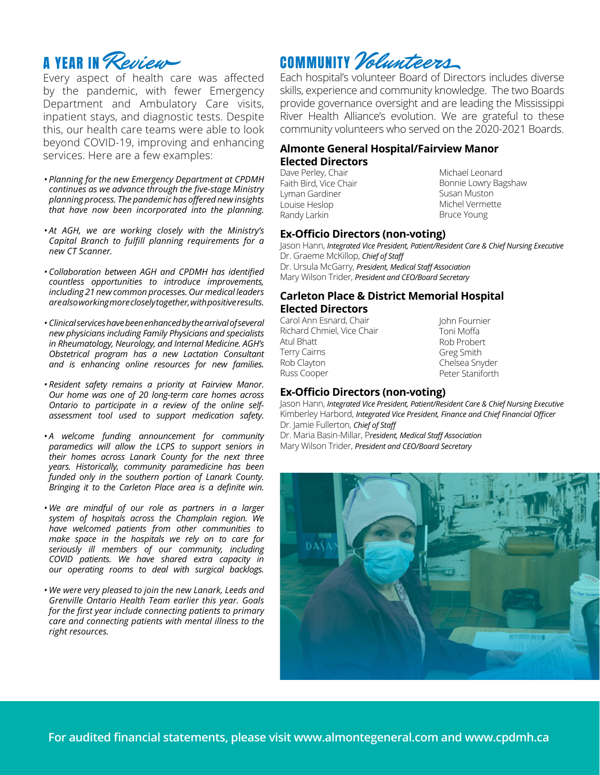

Every aspect of health care was affected by the pandemic, with fewer Emergency Department and Ambulatory Care visits, inpatient stays, and diagnostic tests. Despite this, our health care teams were able to look beyond COVID-19, improving and enhancing services. Here are a few examples:

- *• Planning for the new Emergency Department at CPDMH continues as we advance through the five-stage Ministry planning process. The pandemic has offered new insights that have now been incorporated into the planning.*
- *• At AGH, we are working closely with the Ministry's Capital Branch to fulfill planning requirements for a new CT Scanner.*
- *• Collaboration between AGH and CPDMH has identified countless opportunities to introduce improvements, including 21 new common processes. Our medical leaders are also working more closely together, with positive results.*
- *• Clinical services have been enhanced by the arrival of several new physicians including Family Physicians and specialists in Rheumatology, Neurology, and Internal Medicine. AGH's Obstetrical program has a new Lactation Consultant and is enhancing online resources for new families.*
- *• Resident safety remains a priority at Fairview Manor. Our home was one of 20 long-term care homes across Ontario to participate in a review of the online selfassessment tool used to support medication safety.*
- *• A welcome funding announcement for community paramedics will allow the LCPS to support seniors in their homes across Lanark County for the next three years. Historically, community paramedicine has been funded only in the southern portion of Lanark County. Bringing it to the Carleton Place area is a definite win.*
- *• We are mindful of our role as partners in a larger system of hospitals across the Champlain region. We have welcomed patients from other communities to make space in the hospitals we rely on to care for seriously ill members of our community, including COVID patients. We have shared extra capacity in our operating rooms to deal with surgical backlogs.*
- *• We were very pleased to join the new Lanark, Leeds and Grenville Ontario Health Team earlier this year. Goals for the first year include connecting patients to primary care and connecting patients with mental illness to the right resources.*

### COMMUNITY Volunteers

Each hospital's volunteer Board of Directors includes diverse skills, experience and community knowledge. The two Boards provide governance oversight and are leading the Mississippi River Health Alliance's evolution. We are grateful to these community volunteers who served on the 2020-2021 Boards.

#### **Almonte General Hospital/Fairview Manor Elected Directors**

Dave Perley, Chair Faith Bird, Vice Chair Lyman Gardiner Louise Heslop Randy Larkin

Michael Leonard Bonnie Lowry Bagshaw Susan Muston Michel Vermette Bruce Young

### **Ex-Officio Directors (non-voting)**

Jason Hann, *Integrated Vice President, Patient/Resident Care & Chief Nursing Executive* Dr. Graeme McKillop, *Chief of Staff* Dr. Ursula McGarry, *President, Medical Staff Association* Mary Wilson Trider, *President and CEO/Board Secretary*

### **Carleton Place & District Memorial Hospital Elected Directors**

Carol Ann Esnard, Chair Richard Chmiel, Vice Chair Atul Bhatt Terry Cairns Rob Clayton Russ Cooper

John Fournier Toni Moffa Rob Probert Greg Smith Chelsea Snyder Peter Staniforth

### **Ex-Officio Directors (non-voting)**

Jason Hann, *Integrated Vice President, Patient/Resident Care & Chief Nursing Executive* Kimberley Harbord, *Integrated Vice President, Finance and Chief Financial Officer* Dr. Jamie Fullerton, *Chief of Staff* Dr. Maria Basin-Millar, P*resident, Medical Staff Association* 

Mary Wilson Trider, *President and CEO/Board Secretary*



**For audited financial statements, please visit www.almontegeneral.com and www.cpdmh.ca**